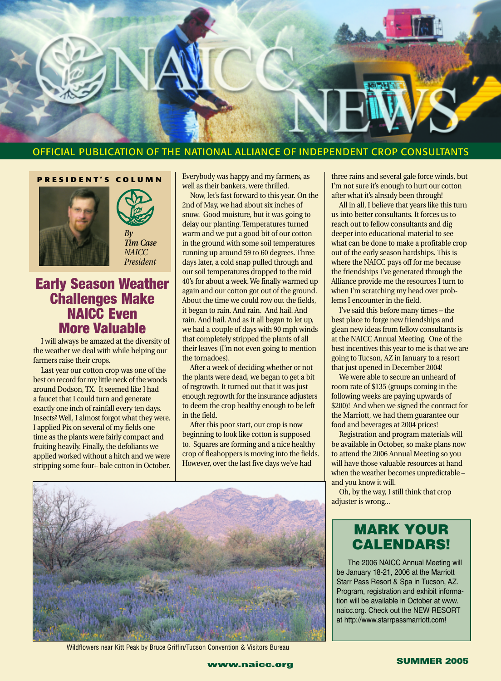

#### OFFICIAL PUBLICATION OF THE NATIONAL ALLIANCE OF INDEPENDENT CROP CONSULTANTS

#### **PRESIDENT'S COLUMN**





*President*

#### **Early Season Weather Challenges Make NAICC Even More Valuable**

I will always be amazed at the diversity of the weather we deal with while helping our farmers raise their crops.

Last year our cotton crop was one of the best on record for my little neck of the woods around Dodson, TX. It seemed like I had a faucet that I could turn and generate exactly one inch of rainfall every ten days. Insects? Well, I almost forgot what they were. I applied Pix on several of my fields one time as the plants were fairly compact and fruiting heavily. Finally, the defoliants we applied worked without a hitch and we were stripping some four+ bale cotton in October. Everybody was happy and my farmers, as well as their bankers, were thrilled.

Now, let's fast forward to this year. On the 2nd of May, we had about six inches of snow. Good moisture, but it was going to delay our planting. Temperatures turned warm and we put a good bit of our cotton in the ground with some soil temperatures running up around 59 to 60 degrees. Three days later, a cold snap pulled through and our soil temperatures dropped to the mid 40's for about a week. We finally warmed up again and our cotton got out of the ground. About the time we could row out the fields, it began to rain. And rain. And hail. And rain. And hail. And as it all began to let up, we had a couple of days with 90 mph winds that completely stripped the plants of all their leaves (I'm not even going to mention the tornadoes).

After a week of deciding whether or not the plants were dead, we began to get a bit of regrowth. It turned out that it was just enough regrowth for the insurance adjusters to deem the crop healthy enough to be left in the field.

After this poor start, our crop is now beginning to look like cotton is supposed to. Squares are forming and a nice healthy crop of fleahoppers is moving into the fields. However, over the last five days we've had



Wildflowers near Kitt Peak by Bruce Griffin/Tucson Convention & Visitors Bureau

three rains and several gale force winds, but I'm not sure it's enough to hurt our cotton after what it's already been through!

All in all, I believe that years like this turn us into better consultants. It forces us to reach out to fellow consultants and dig deeper into educational material to see what can be done to make a profitable crop out of the early season hardships. This is where the NAICC pays off for me because the friendships I've generated through the Alliance provide me the resources I turn to when I'm scratching my head over problems I encounter in the field.

I've said this before many times – the best place to forge new friendships and glean new ideas from fellow consultants is at the NAICC Annual Meeting. One of the best incentives this year to me is that we are going to Tucson, AZ in January to a resort that just opened in December 2004!

We were able to secure an unheard of room rate of \$135 (groups coming in the following weeks are paying upwards of \$200)! And when we signed the contract for the Marriott, we had them guarantee our food and beverages at 2004 prices!

Registration and program materials will be available in October, so make plans now to attend the 2006 Annual Meeting so you will have those valuable resources at hand when the weather becomes unpredictable – and you know it will.

Oh, by the way, I still think that crop adjuster is wrong...

#### **MARK YOUR CALENDARS!**

The 2006 NAICC Annual Meeting will be January 18-21, 2006 at the Marriott Starr Pass Resort & Spa in Tucson, AZ. Program, registration and exhibit information will be available in October at www. naicc.org. Check out the NEW RESORT at http://www.starrpassmarriott.com!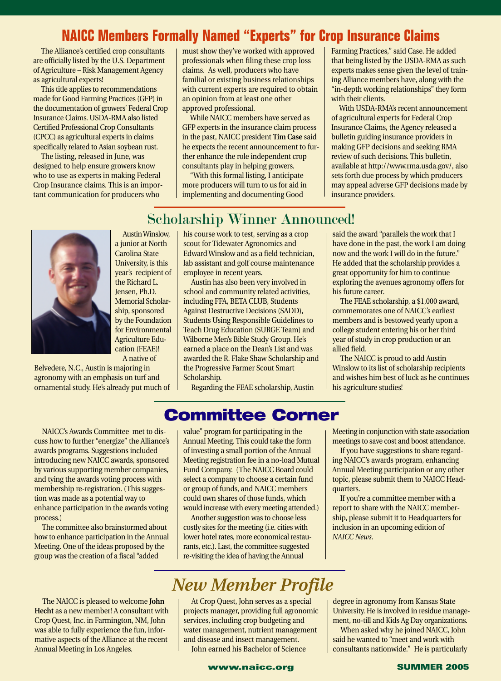### **NAICC Members Formally Named "Experts" for Crop Insurance Claims**

The Alliance's certified crop consultants are officially listed by the U.S. Department of Agriculture – Risk Management Agency as agricultural experts!

This title applies to recommendations made for Good Farming Practices (GFP) in the documentation of growers' Federal Crop Insurance Claims. USDA-RMA also listed Certified Professional Crop Consultants (CPCC) as agricultural experts in claims specifically related to Asian soybean rust.

The listing, released in June, was designed to help ensure growers know who to use as experts in making Federal Crop Insurance claims. This is an important communication for producers who

must show they've worked with approved professionals when filing these crop loss claims. As well, producers who have familial or existing business relationships with current experts are required to obtain an opinion from at least one other approved professional.

While NAICC members have served as GFP experts in the insurance claim process in the past, NAICC president **Tim Case** said he expects the recent announcement to further enhance the role independent crop consultants play in helping growers.

"With this formal listing, I anticipate more producers will turn to us for aid in implementing and documenting Good

Farming Practices," said Case. He added that being listed by the USDA-RMA as such experts makes sense given the level of training Alliance members have, along with the "in-depth working relationships" they form with their clients.

With USDA-RMA's recent announcement of agricultural experts for Federal Crop Insurance Claims, the Agency released a bulletin guiding insurance providers in making GFP decisions and seeking RMA review of such decisions. This bulletin, available at http://www.rma.usda.gov/, also sets forth due process by which producers may appeal adverse GFP decisions made by insurance providers.

### Scholarship Winner Announced!



Austin Winslow, a junior at North Carolina State University, is this year's recipient of the Richard L. Jensen, Ph.D. Memorial Scholarship, sponsored by the Foundation for Environmental Agriculture Education (FEAE)! A native of

Belvedere, N.C., Austin is majoring in agronomy with an emphasis on turf and ornamental study. He's already put much of his course work to test, serving as a crop scout for Tidewater Agronomics and Edward Winslow and as a field technician, lab assistant and golf course maintenance employee in recent years.

Austin has also been very involved in school and community related activities, including FFA, BETA CLUB, Students Against Destructive Decisions (SADD), Students Using Responsible Guidelines to Teach Drug Education (SURGE Team) and Wilborne Men's Bible Study Group. He's earned a place on the Dean's List and was awarded the R. Flake Shaw Scholarship and the Progressive Farmer Scout Smart Scholarship.

Regarding the FEAE scholarship, Austin

said the award "parallels the work that I have done in the past, the work I am doing now and the work I will do in the future." He added that the scholarship provides a great opportunity for him to continue exploring the avenues agronomy offers for his future career.

The FEAE scholarship, a \$1,000 award, commemorates one of NAICC's earliest members and is bestowed yearly upon a college student entering his or her third year of study in crop production or an allied field.

The NAICC is proud to add Austin Winslow to its list of scholarship recipients and wishes him best of luck as he continues his agriculture studies!

### **Committee Corner**

NAICC's Awards Committee met to discuss how to further "energize" the Alliance's awards programs. Suggestions included introducing new NAICC awards, sponsored by various supporting member companies, and tying the awards voting process with membership re-registration. (This suggestion was made as a potential way to enhance participation in the awards voting process.)

The committee also brainstormed about how to enhance participation in the Annual Meeting. One of the ideas proposed by the group was the creation of a fiscal "added

value" program for participating in the Annual Meeting. This could take the form of investing a small portion of the Annual Meeting registration fee in a no-load Mutual Fund Company. (The NAICC Board could select a company to choose a certain fund or group of funds, and NAICC members could own shares of those funds, which would increase with every meeting attended.)

Another suggestion was to choose less costly sites for the meeting (i.e. cities with lower hotel rates, more economical restaurants, etc.). Last, the committee suggested re-visiting the idea of having the Annual

Meeting in conjunction with state association meetings to save cost and boost attendance.

If you have suggestions to share regarding NAICC's awards program, enhancing Annual Meeting participation or any other topic, please submit them to NAICC Headquarters.

If you're a committee member with a report to share with the NAICC membership, please submit it to Headquarters for inclusion in an upcoming edition of *NAICC News*.

University. He is involved in residue management, no-till and Kids Ag Day organizations. When asked why he joined NAICC, John

## *New Member Profile*

At Crop Quest, John serves as a special projects manager, providing full agronomic services, including crop budgeting and water management, nutrient management and disease and insect management.

John earned his Bachelor of Science

said he wanted to "meet and work with consultants nationwide." He is particularly

# degree in agronomy from Kansas State

The NAICC is pleased to welcome **John Hecht** as a new member! A consultant with Crop Quest, Inc. in Farmington, NM, John was able to fully experience the fun, informative aspects of the Alliance at the recent Annual Meeting in Los Angeles.